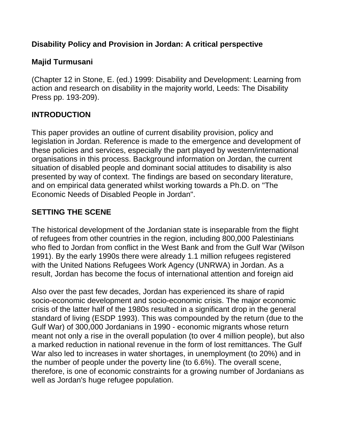#### **Disability Policy and Provision in Jordan: A critical perspective**

### **Majid Turmusani**

(Chapter 12 in Stone, E. (ed.) 1999: Disability and Development: Learning from action and research on disability in the majority world, Leeds: The Disability Press pp. 193-209).

### **INTRODUCTION**

This paper provides an outline of current disability provision, policy and legislation in Jordan. Reference is made to the emergence and development of these policies and services, especially the part played by western/international organisations in this process. Background information on Jordan, the current situation of disabled people and dominant social attitudes to disability is also presented by way of context. The findings are based on secondary literature, and on empirical data generated whilst working towards a Ph.D. on "The Economic Needs of Disabled People in Jordan".

# **SETTING THE SCENE**

The historical development of the Jordanian state is inseparable from the flight of refugees from other countries in the region, including 800,000 Palestinians who fled to Jordan from conflict in the West Bank and from the Gulf War (Wilson 1991). By the early 1990s there were already 1.1 million refugees registered with the United Nations Refugees Work Agency (UNRWA) in Jordan. As a result, Jordan has become the focus of international attention and foreign aid

Also over the past few decades, Jordan has experienced its share of rapid socio-economic development and socio-economic crisis. The major economic crisis of the latter half of the 1980s resulted in a significant drop in the general standard of living (ESDP 1993). This was compounded by the return (due to the Gulf War) of 300,000 Jordanians in 1990 - economic migrants whose return meant not only a rise in the overall population (to over 4 million people), but also a marked reduction in national revenue in the form of lost remittances. The Gulf War also led to increases in water shortages, in unemployment (to 20%) and in the number of people under the poverty line (to 6.6%). The overall scene, therefore, is one of economic constraints for a growing number of Jordanians as well as Jordan's huge refugee population.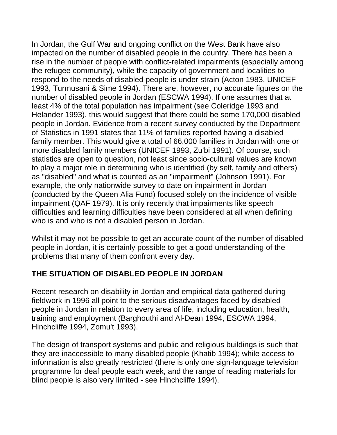In Jordan, the Gulf War and ongoing conflict on the West Bank have also impacted on the number of disabled people in the country. There has been a rise in the number of people with conflict-related impairments (especially among the refugee community), while the capacity of government and localities to respond to the needs of disabled people is under strain (Acton 1983, UNICEF 1993, Turmusani & Sime 1994). There are, however, no accurate figures on the number of disabled people in Jordan (ESCWA 1994). If one assumes that at least 4% of the total population has impairment (see Coleridge 1993 and Helander 1993), this would suggest that there could be some 170,000 disabled people in Jordan. Evidence from a recent survey conducted by the Department of Statistics in 1991 states that 11% of families reported having a disabled family member. This would give a total of 66,000 families in Jordan with one or more disabled family members (UNICEF 1993, Zu'bi 1991). Of course, such statistics are open to question, not least since socio-cultural values are known to play a major role in determining who is identified (by self, family and others) as "disabled" and what is counted as an "impairment" (Johnson 1991). For example, the only nationwide survey to date on impairment in Jordan (conducted by the Queen Alia Fund) focused solely on the incidence of visible impairment (QAF 1979). It is only recently that impairments like speech difficulties and learning difficulties have been considered at all when defining who is and who is not a disabled person in Jordan.

Whilst it may not be possible to get an accurate count of the number of disabled people in Jordan, it is certainly possible to get a good understanding of the problems that many of them confront every day.

# **THE SITUATION OF DISABLED PEOPLE IN JORDAN**

Recent research on disability in Jordan and empirical data gathered during fieldwork in 1996 all point to the serious disadvantages faced by disabled people in Jordan in relation to every area of life, including education, health, training and employment (Barghouthi and Al-Dean 1994, ESCWA 1994, Hinchcliffe 1994, Zomu't 1993).

The design of transport systems and public and religious buildings is such that they are inaccessible to many disabled people (Khatib 1994); while access to information is also greatly restricted (there is only one sign-language television programme for deaf people each week, and the range of reading materials for blind people is also very limited - see Hinchcliffe 1994).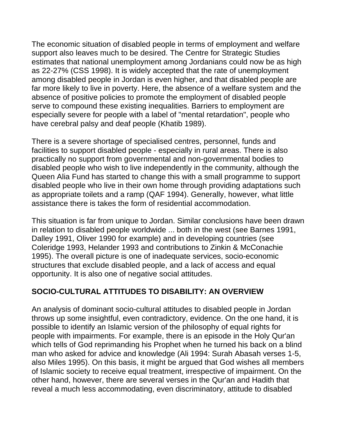The economic situation of disabled people in terms of employment and welfare support also leaves much to be desired. The Centre for Strategic Studies estimates that national unemployment among Jordanians could now be as high as 22-27% (CSS 1998). It is widely accepted that the rate of unemployment among disabled people in Jordan is even higher, and that disabled people are far more likely to live in poverty. Here, the absence of a welfare system and the absence of positive policies to promote the employment of disabled people serve to compound these existing inequalities. Barriers to employment are especially severe for people with a label of "mental retardation", people who have cerebral palsy and deaf people (Khatib 1989).

There is a severe shortage of specialised centres, personnel, funds and facilities to support disabled people - especially in rural areas. There is also practically no support from governmental and non-governmental bodies to disabled people who wish to live independently in the community, although the Queen Alia Fund has started to change this with a small programme to support disabled people who live in their own home through providing adaptations such as appropriate toilets and a ramp (QAF 1994). Generally, however, what little assistance there is takes the form of residential accommodation.

This situation is far from unique to Jordan. Similar conclusions have been drawn in relation to disabled people worldwide ... both in the west (see Barnes 1991, Dalley 1991, Oliver 1990 for example) and in developing countries (see Coleridge 1993, Helander 1993 and contributions to Zinkin & McConachie 1995). The overall picture is one of inadequate services, socio-economic structures that exclude disabled people, and a lack of access and equal opportunity. It is also one of negative social attitudes.

#### **SOCIO-CULTURAL ATTITUDES TO DISABILITY: AN OVERVIEW**

An analysis of dominant socio-cultural attitudes to disabled people in Jordan throws up some insightful, even contradictory, evidence. On the one hand, it is possible to identify an Islamic version of the philosophy of equal rights for people with impairments. For example, there is an episode in the Holy Qur'an which tells of God reprimanding his Prophet when he turned his back on a blind man who asked for advice and knowledge (Ali 1994: Surah Abasah verses 1-5, also Miles 1995). On this basis, it might be argued that God wishes all members of Islamic society to receive equal treatment, irrespective of impairment. On the other hand, however, there are several verses in the Qur'an and Hadith that reveal a much less accommodating, even discriminatory, attitude to disabled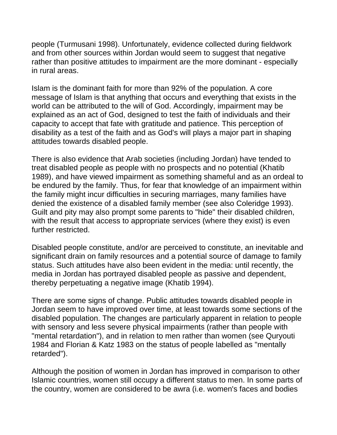people (Turmusani 1998). Unfortunately, evidence collected during fieldwork and from other sources within Jordan would seem to suggest that negative rather than positive attitudes to impairment are the more dominant - especially in rural areas.

Islam is the dominant faith for more than 92% of the population. A core message of Islam is that anything that occurs and everything that exists in the world can be attributed to the will of God. Accordingly, impairment may be explained as an act of God, designed to test the faith of individuals and their capacity to accept that fate with gratitude and patience. This perception of disability as a test of the faith and as God's will plays a major part in shaping attitudes towards disabled people.

There is also evidence that Arab societies (including Jordan) have tended to treat disabled people as people with no prospects and no potential (Khatib 1989), and have viewed impairment as something shameful and as an ordeal to be endured by the family. Thus, for fear that knowledge of an impairment within the family might incur difficulties in securing marriages, many families have denied the existence of a disabled family member (see also Coleridge 1993). Guilt and pity may also prompt some parents to "hide" their disabled children, with the result that access to appropriate services (where they exist) is even further restricted.

Disabled people constitute, and/or are perceived to constitute, an inevitable and significant drain on family resources and a potential source of damage to family status. Such attitudes have also been evident in the media: until recently, the media in Jordan has portrayed disabled people as passive and dependent, thereby perpetuating a negative image (Khatib 1994).

There are some signs of change. Public attitudes towards disabled people in Jordan seem to have improved over time, at least towards some sections of the disabled population. The changes are particularly apparent in relation to people with sensory and less severe physical impairments (rather than people with "mental retardation"), and in relation to men rather than women (see Quryouti 1984 and Florian & Katz 1983 on the status of people labelled as "mentally retarded").

Although the position of women in Jordan has improved in comparison to other Islamic countries, women still occupy a different status to men. In some parts of the country, women are considered to be awra (i.e. women's faces and bodies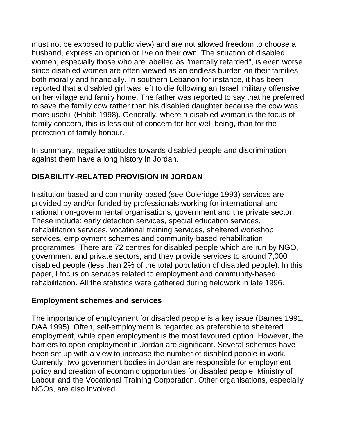must not be exposed to public view) and are not allowed freedom to choose a husband, express an opinion or live on their own. The situation of disabled women, especially those who are labelled as "mentally retarded", is even worse since disabled women are often viewed as an endless burden on their families both morally and financially. In southern Lebanon for instance, it has been reported that a disabled girl was left to die following an Israeli military offensive on her village and family home. The father was reported to say that he preferred to save the family cow rather than his disabled daughter because the cow was more useful (Habib 1998). Generally, where a disabled woman is the focus of family concern, this is less out of concern for her well-being, than for the protection of family honour.

In summary, negative attitudes towards disabled people and discrimination against them have a long history in Jordan.

### **DISABILITY-RELATED PROVISION IN JORDAN**

Institution-based and community-based (see Coleridge 1993) services are provided by and/or funded by professionals working for international and national non-governmental organisations, government and the private sector. These include: early detection services, special education services, rehabilitation services, vocational training services, sheltered workshop services, employment schemes and community-based rehabilitation programmes. There are 72 centres for disabled people which are run by NGO, government and private sectors; and they provide services to around 7,000 disabled people (less than 2% of the total population of disabled people). In this paper, I focus on services related to employment and community-based rehabilitation. All the statistics were gathered during fieldwork in late 1996.

#### **Employment schemes and services**

The importance of employment for disabled people is a key issue (Barnes 1991, DAA 1995). Often, self-employment is regarded as preferable to sheltered employment, while open employment is the most favoured option. However, the barriers to open employment in Jordan are significant. Several schemes have been set up with a view to increase the number of disabled people in work. Currently, two government bodies in Jordan are responsible for employment policy and creation of economic opportunities for disabled people: Ministry of Labour and the Vocational Training Corporation. Other organisations, especially NGOs, are also involved.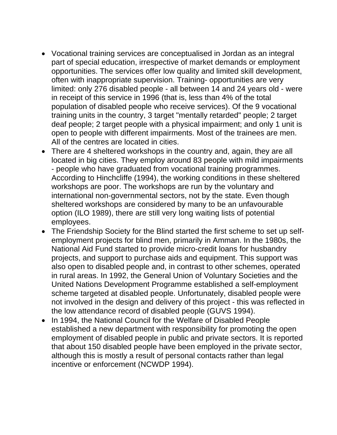- Vocational training services are conceptualised in Jordan as an integral part of special education, irrespective of market demands or employment opportunities. The services offer low quality and limited skill development, often with inappropriate supervision. Training- opportunities are very limited: only 276 disabled people - all between 14 and 24 years old - were in receipt of this service in 1996 (that is, less than 4% of the total population of disabled people who receive services). Of the 9 vocational training units in the country, 3 target "mentally retarded" people; 2 target deaf people; 2 target people with a physical impairment; and only 1 unit is open to people with different impairments. Most of the trainees are men. All of the centres are located in cities.
- There are 4 sheltered workshops in the country and, again, they are all located in big cities. They employ around 83 people with mild impairments - people who have graduated from vocational training programmes. According to Hinchcliffe (1994), the working conditions in these sheltered workshops are poor. The workshops are run by the voluntary and international non-governmental sectors, not by the state. Even though sheltered workshops are considered by many to be an unfavourable option (ILO 1989), there are still very long waiting lists of potential employees.
- The Friendship Society for the Blind started the first scheme to set up selfemployment projects for blind men, primarily in Amman. In the 1980s, the National Aid Fund started to provide micro-credit loans for husbandry projects, and support to purchase aids and equipment. This support was also open to disabled people and, in contrast to other schemes, operated in rural areas. In 1992, the General Union of Voluntary Societies and the United Nations Development Programme established a self-employment scheme targeted at disabled people. Unfortunately, disabled people were not involved in the design and delivery of this project - this was reflected in the low attendance record of disabled people (GUVS 1994).
- In 1994, the National Council for the Welfare of Disabled People established a new department with responsibility for promoting the open employment of disabled people in public and private sectors. It is reported that about 150 disabled people have been employed in the private sector, although this is mostly a result of personal contacts rather than legal incentive or enforcement (NCWDP 1994).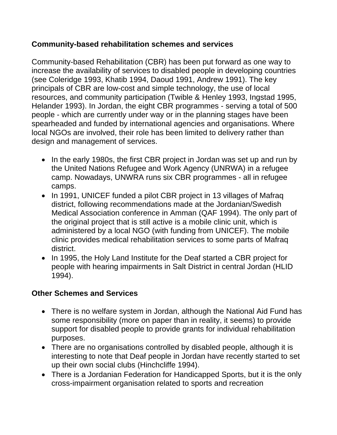#### **Community-based rehabilitation schemes and services**

Community-based Rehabilitation (CBR) has been put forward as one way to increase the availability of services to disabled people in developing countries (see Coleridge 1993, Khatib 1994, Daoud 1991, Andrew 1991). The key principals of CBR are low-cost and simple technology, the use of local resources, and community participation (Twible & Henley 1993, Ingstad 1995, Helander 1993). In Jordan, the eight CBR programmes - serving a total of 500 people - which are currently under way or in the planning stages have been spearheaded and funded by international agencies and organisations. Where local NGOs are involved, their role has been limited to delivery rather than design and management of services.

- In the early 1980s, the first CBR project in Jordan was set up and run by the United Nations Refugee and Work Agency (UNRWA) in a refugee camp. Nowadays, UNWRA runs six CBR programmes - all in refugee camps.
- In 1991, UNICEF funded a pilot CBR project in 13 villages of Mafraq district, following recommendations made at the Jordanian/Swedish Medical Association conference in Amman (QAF 1994). The only part of the original project that is still active is a mobile clinic unit, which is administered by a local NGO (with funding from UNICEF). The mobile clinic provides medical rehabilitation services to some parts of Mafraq district.
- In 1995, the Holy Land Institute for the Deaf started a CBR project for people with hearing impairments in Salt District in central Jordan (HLID 1994).

#### **Other Schemes and Services**

- There is no welfare system in Jordan, although the National Aid Fund has some responsibility (more on paper than in reality, it seems) to provide support for disabled people to provide grants for individual rehabilitation purposes.
- There are no organisations controlled by disabled people, although it is interesting to note that Deaf people in Jordan have recently started to set up their own social clubs (Hinchcliffe 1994).
- There is a Jordanian Federation for Handicapped Sports, but it is the only cross-impairment organisation related to sports and recreation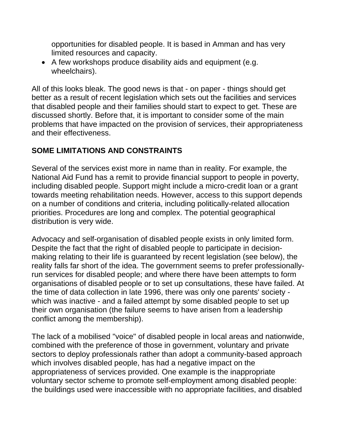opportunities for disabled people. It is based in Amman and has very limited resources and capacity.

• A few workshops produce disability aids and equipment (e.g. wheelchairs).

All of this looks bleak. The good news is that - on paper - things should get better as a result of recent legislation which sets out the facilities and services that disabled people and their families should start to expect to get. These are discussed shortly. Before that, it is important to consider some of the main problems that have impacted on the provision of services, their appropriateness and their effectiveness.

#### **SOME LIMITATIONS AND CONSTRAINTS**

Several of the services exist more in name than in reality. For example, the National Aid Fund has a remit to provide financial support to people in poverty, including disabled people. Support might include a micro-credit loan or a grant towards meeting rehabilitation needs. However, access to this support depends on a number of conditions and criteria, including politically-related allocation priorities. Procedures are long and complex. The potential geographical distribution is very wide.

Advocacy and self-organisation of disabled people exists in only limited form. Despite the fact that the right of disabled people to participate in decisionmaking relating to their life is guaranteed by recent legislation (see below), the reality falls far short of the idea. The government seems to prefer professionallyrun services for disabled people; and where there have been attempts to form organisations of disabled people or to set up consultations, these have failed. At the time of data collection in late 1996, there was only one parents' society which was inactive - and a failed attempt by some disabled people to set up their own organisation (the failure seems to have arisen from a leadership conflict among the membership).

The lack of a mobilised "voice" of disabled people in local areas and nationwide, combined with the preference of those in government, voluntary and private sectors to deploy professionals rather than adopt a community-based approach which involves disabled people, has had a negative impact on the appropriateness of services provided. One example is the inappropriate voluntary sector scheme to promote self-employment among disabled people: the buildings used were inaccessible with no appropriate facilities, and disabled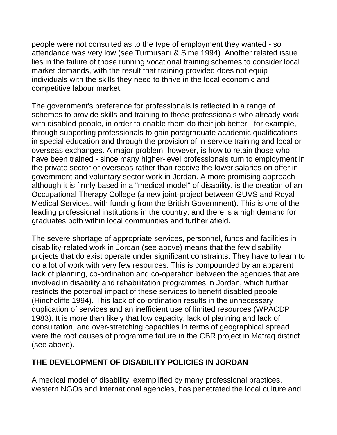people were not consulted as to the type of employment they wanted - so attendance was very low (see Turmusani & Sime 1994). Another related issue lies in the failure of those running vocational training schemes to consider local market demands, with the result that training provided does not equip individuals with the skills they need to thrive in the local economic and competitive labour market.

The government's preference for professionals is reflected in a range of schemes to provide skills and training to those professionals who already work with disabled people, in order to enable them do their job better - for example, through supporting professionals to gain postgraduate academic qualifications in special education and through the provision of in-service training and local or overseas exchanges. A major problem, however, is how to retain those who have been trained - since many higher-level professionals turn to employment in the private sector or overseas rather than receive the lower salaries on offer in government and voluntary sector work in Jordan. A more promising approach although it is firmly based in a "medical model" of disability, is the creation of an Occupational Therapy College (a new joint-project between GUVS and Royal Medical Services, with funding from the British Government). This is one of the leading professional institutions in the country; and there is a high demand for graduates both within local communities and further afield.

The severe shortage of appropriate services, personnel, funds and facilities in disability-related work in Jordan (see above) means that the few disability projects that do exist operate under significant constraints. They have to learn to do a lot of work with very few resources. This is compounded by an apparent lack of planning, co-ordination and co-operation between the agencies that are involved in disability and rehabilitation programmes in Jordan, which further restricts the potential impact of these services to benefit disabled people (Hinchcliffe 1994). This lack of co-ordination results in the unnecessary duplication of services and an inefficient use of limited resources (WPACDP 1983). It is more than likely that low capacity, lack of planning and lack of consultation, and over-stretching capacities in terms of geographical spread were the root causes of programme failure in the CBR project in Mafraq district (see above).

# **THE DEVELOPMENT OF DISABILITY POLICIES IN JORDAN**

A medical model of disability, exemplified by many professional practices, western NGOs and international agencies, has penetrated the local culture and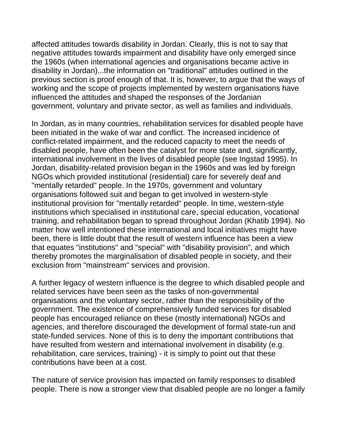affected attitudes towards disability in Jordan. Clearly, this is not to say that negative attitudes towards impairment and disability have only emerged since the 1960s (when international agencies and organisations became active in disability in Jordan)...the information on "traditional" attitudes outlined in the previous section is proof enough of that. It is, however, to argue that the ways of working and the scope of projects implemented by western organisations have influenced the attitudes and shaped the responses of the Jordanian government, voluntary and private sector, as well as families and individuals.

In Jordan, as in many countries, rehabilitation services for disabled people have been initiated in the wake of war and conflict. The increased incidence of conflict-related impairment, and the reduced capacity to meet the needs of disabled people, have often been the catalyst for more state and, significantly, international involvement in the lives of disabled people (see Ingstad 1995). In Jordan, disability-related provision began in the 1960s and was led by foreign NGOs which provided institutional (residential) care for severely deaf and "mentally retarded" people. In the 1970s, government and voluntary organisations followed suit and began to get involved in western-style institutional provision for "mentally retarded" people. In time, western-style institutions which specialised in institutional care, special education, vocational training, and rehabilitation began to spread throughout Jordan (Khatib 1994). No matter how well intentioned these international and local initiatives might have been, there is little doubt that the result of western influence has been a view that equates "institutions" and "special" with "disability provision", and which thereby promotes the marginalisation of disabled people in society, and their exclusion from "mainstream" services and provision.

A further legacy of western influence is the degree to which disabled people and related services have been seen as the tasks of non-governmental organisations and the voluntary sector, rather than the responsibility of the government. The existence of comprehensively funded services for disabled people has encouraged reliance on these (mostly international) NGOs and agencies, and therefore discouraged the development of formal state-run and state-funded services. None of this is to deny the important contributions that have resulted from western and international involvement in disability (e.g. rehabilitation, care services, training) - it is simply to point out that these contributions have been at a cost.

The nature of service provision has impacted on family responses to disabled people. There is now a stronger view that disabled people are no longer a family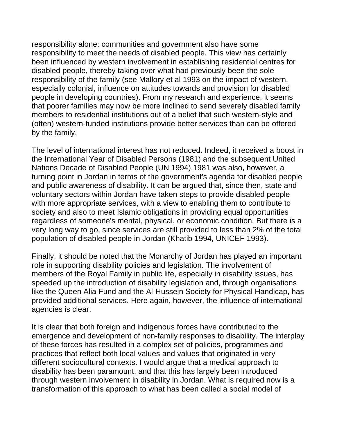responsibility alone: communities and government also have some responsibility to meet the needs of disabled people. This view has certainly been influenced by western involvement in establishing residential centres for disabled people, thereby taking over what had previously been the sole responsibility of the family (see Mallory et al 1993 on the impact of western, especially colonial, influence on attitudes towards and provision for disabled people in developing countries). From my research and experience, it seems that poorer families may now be more inclined to send severely disabled family members to residential institutions out of a belief that such western-style and (often) western-funded institutions provide better services than can be offered by the family.

The level of international interest has not reduced. Indeed, it received a boost in the International Year of Disabled Persons (1981) and the subsequent United Nations Decade of Disabled People (UN 1994).1981 was also, however, a turning point in Jordan in terms of the government's agenda for disabled people and public awareness of disability. It can be argued that, since then, state and voluntary sectors within Jordan have taken steps to provide disabled people with more appropriate services, with a view to enabling them to contribute to society and also to meet Islamic obligations in providing equal opportunities regardless of someone's mental, physical, or economic condition. But there is a very long way to go, since services are still provided to less than 2% of the total population of disabled people in Jordan (Khatib 1994, UNICEF 1993).

Finally, it should be noted that the Monarchy of Jordan has played an important role in supporting disability policies and legislation. The involvement of members of the Royal Family in public life, especially in disability issues, has speeded up the introduction of disability legislation and, through organisations like the Queen Alia Fund and the Al-Hussein Society for Physical Handicap, has provided additional services. Here again, however, the influence of international agencies is clear.

It is clear that both foreign and indigenous forces have contributed to the emergence and development of non-family responses to disability. The interplay of these forces has resulted in a complex set of policies, programmes and practices that reflect both local values and values that originated in very different sociocultural contexts. I would argue that a medical approach to disability has been paramount, and that this has largely been introduced through western involvement in disability in Jordan. What is required now is a transformation of this approach to what has been called a social model of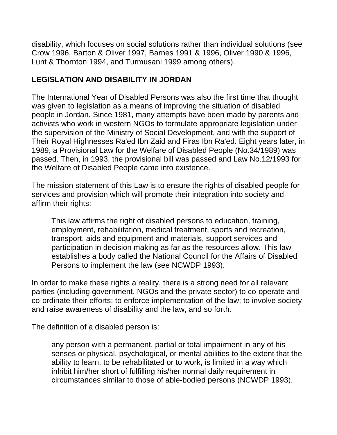disability, which focuses on social solutions rather than individual solutions (see Crow 1996, Barton & Oliver 1997, Barnes 1991 & 1996, Oliver 1990 & 1996, Lunt & Thornton 1994, and Turmusani 1999 among others).

### **LEGISLATION AND DISABILITY IN JORDAN**

The International Year of Disabled Persons was also the first time that thought was given to legislation as a means of improving the situation of disabled people in Jordan. Since 1981, many attempts have been made by parents and activists who work in western NGOs to formulate appropriate legislation under the supervision of the Ministry of Social Development, and with the support of Their Royal Highnesses Ra'ed Ibn Zaid and Firas Ibn Ra'ed. Eight years later, in 1989, a Provisional Law for the Welfare of Disabled People (No.34/1989) was passed. Then, in 1993, the provisional bill was passed and Law No.12/1993 for the Welfare of Disabled People came into existence.

The mission statement of this Law is to ensure the rights of disabled people for services and provision which will promote their integration into society and affirm their rights:

This law affirms the right of disabled persons to education, training, employment, rehabilitation, medical treatment, sports and recreation, transport, aids and equipment and materials, support services and participation in decision making as far as the resources allow. This law establishes a body called the National Council for the Affairs of Disabled Persons to implement the law (see NCWDP 1993).

In order to make these rights a reality, there is a strong need for all relevant parties (including government, NGOs and the private sector) to co-operate and co-ordinate their efforts; to enforce implementation of the law; to involve society and raise awareness of disability and the law, and so forth.

The definition of a disabled person is:

any person with a permanent, partial or total impairment in any of his senses or physical, psychological, or mental abilities to the extent that the ability to learn, to be rehabilitated or to work, is limited in a way which inhibit him/her short of fulfilling his/her normal daily requirement in circumstances similar to those of able-bodied persons (NCWDP 1993).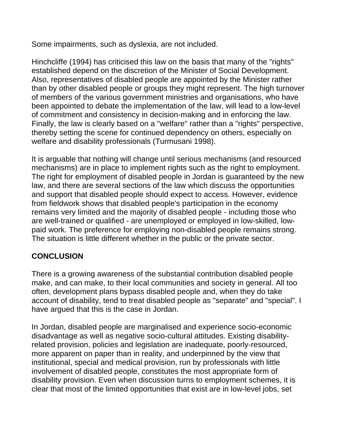Some impairments, such as dyslexia, are not included.

Hinchcliffe (1994) has criticised this law on the basis that many of the "rights" established depend on the discretion of the Minister of Social Development. Also, representatives of disabled people are appointed by the Minister rather than by other disabled people or groups they might represent. The high turnover of members of the various government ministries and organisations, who have been appointed to debate the implementation of the law, will lead to a low-level of commitment and consistency in decision-making and in enforcing the law. Finally, the law is clearly based on a "welfare" rather than a "rights" perspective, thereby setting the scene for continued dependency on others, especially on welfare and disability professionals (Turmusani 1998).

It is arguable that nothing will change until serious mechanisms (and resourced mechanisms) are in place to implement rights such as the right to employment. The right for employment of disabled people in Jordan is guaranteed by the new law, and there are several sections of the law which discuss the opportunities and support that disabled people should expect to access. However, evidence from fieldwork shows that disabled people's participation in the economy remains very limited and the majority of disabled people - including those who are well-trained or qualified - are unemployed or employed in low-skilled, lowpaid work. The preference for employing non-disabled people remains strong. The situation is little different whether in the public or the private sector.

# **CONCLUSION**

There is a growing awareness of the substantial contribution disabled people make, and can make, to their local communities and society in general. All too often, development plans bypass disabled people and, when they do take account of disability, tend to treat disabled people as "separate" and "special". I have argued that this is the case in Jordan.

In Jordan, disabled people are marginalised and experience socio-economic disadvantage as well as negative socio-cultural attitudes. Existing disabilityrelated provision, policies and legislation are inadequate, poorly-resourced, more apparent on paper than in reality, and underpinned by the view that institutional, special and medical provision, run by professionals with little involvement of disabled people, constitutes the most appropriate form of disability provision. Even when discussion turns to employment schemes, it is clear that most of the limited opportunities that exist are in low-level jobs, set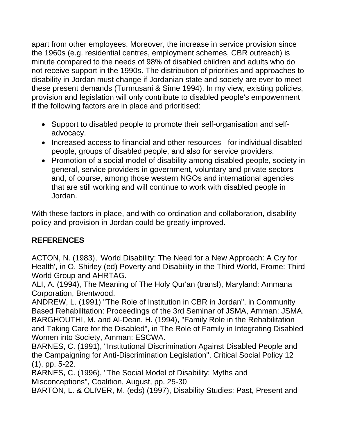apart from other employees. Moreover, the increase in service provision since the 1960s (e.g. residential centres, employment schemes, CBR outreach) is minute compared to the needs of 98% of disabled children and adults who do not receive support in the 1990s. The distribution of priorities and approaches to disability in Jordan must change if Jordanian state and society are ever to meet these present demands (Turmusani & Sime 1994). In my view, existing policies, provision and legislation will only contribute to disabled people's empowerment if the following factors are in place and prioritised:

- Support to disabled people to promote their self-organisation and selfadvocacy.
- Increased access to financial and other resources for individual disabled people, groups of disabled people, and also for service providers.
- Promotion of a social model of disability among disabled people, society in general, service providers in government, voluntary and private sectors and, of course, among those western NGOs and international agencies that are still working and will continue to work with disabled people in Jordan.

With these factors in place, and with co-ordination and collaboration, disability policy and provision in Jordan could be greatly improved.

# **REFERENCES**

ACTON, N. (1983), 'World Disability: The Need for a New Approach: A Cry for Health', in O. Shirley (ed) Poverty and Disability in the Third World, Frome: Third World Group and AHRTAG.

ALI, A. (1994), The Meaning of The Holy Qur'an (transl), Maryland: Ammana Corporation, Brentwood.

ANDREW, L. (1991) "The Role of Institution in CBR in Jordan", in Community Based Rehabilitation: Proceedings of the 3rd Seminar of JSMA, Amman: JSMA. BARGHOUTHI, M. and Al-Dean, H. (1994), "Family Role in the Rehabilitation and Taking Care for the Disabled", in The Role of Family in Integrating Disabled Women into Society, Amman: ESCWA.

BARNES, C. (1991), "Institutional Discrimination Against Disabled People and the Campaigning for Anti-Discrimination Legislation", Critical Social Policy 12 (1), pp. 5-22.

BARNES, C. (1996), "The Social Model of Disability: Myths and Misconceptions", Coalition, August, pp. 25-30

BARTON, L. & OLIVER, M. (eds) (1997), Disability Studies: Past, Present and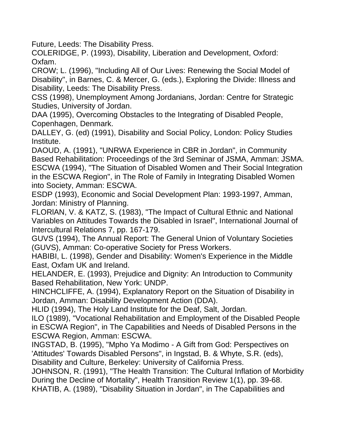Future, Leeds: The Disability Press.

COLERIDGE, P. (1993), Disability, Liberation and Development, Oxford: Oxfam.

CROW; L. (1996), "Including All of Our Lives: Renewing the Social Model of Disability", in Barnes, C. & Mercer, G. (eds.), Exploring the Divide: Illness and Disability, Leeds: The Disability Press.

CSS (1998), Unemployment Among Jordanians, Jordan: Centre for Strategic Studies, University of Jordan.

DAA (1995), Overcoming Obstacles to the Integrating of Disabled People, Copenhagen, Denmark.

DALLEY, G. (ed) (1991), Disability and Social Policy, London: Policy Studies Institute.

DAOUD, A. (1991), "UNRWA Experience in CBR in Jordan", in Community Based Rehabilitation: Proceedings of the 3rd Seminar of JSMA, Amman: JSMA. ESCWA (1994), "The Situation of Disabled Women and Their Social Integration in the ESCWA Region", in The Role of Family in Integrating Disabled Women into Society, Amman: ESCWA.

ESDP (1993), Economic and Social Development Plan: 1993-1997, Amman, Jordan: Ministry of Planning.

FLORlAN, V. & KATZ, S. (1983), "The Impact of Cultural Ethnic and National Variables on Attitudes Towards the Disabled in Israel", International Journal of Intercultural Relations 7, pp. 167-179.

GUVS (1994), The Annual Report: The General Union of Voluntary Societies (GUVS), Amman: Co-operative Society for Press Workers.

HABIBI, L. (1998), Gender and Disability: Women's Experience in the Middle East, Oxfam UK and Ireland.

HELANDER, E. (1993), Prejudice and Dignity: An Introduction to Community Based Rehabilitation, New York: UNDP.

HINCHCLIFFE, A. (1994), Explanatory Report on the Situation of Disability in Jordan, Amman: Disability Development Action (DDA).

HLID (1994), The Holy Land Institute for the Deaf, Salt, Jordan.

ILO (1989), "Vocational Rehabilitation and Employment of the Disabled People in ESCWA Region", in The Capabilities and Needs of Disabled Persons in the ESCWA Region, Amman: ESCWA.

INGSTAD, B. (1995), "Mpho Ya Modimo - A Gift from God: Perspectives on 'Attitudes' Towards Disabled Persons", in Ingstad, B. & Whyte, S.R. (eds), Disability and Culture, Berkeley: University of California Press.

JOHNSON, R. (1991), "The Health Transition: The Cultural Inflation of Morbidity During the Decline of Mortality", Health Transition Review 1(1), pp. 39-68. KHATIB, A. (1989), "Disability Situation in Jordan", in The Capabilities and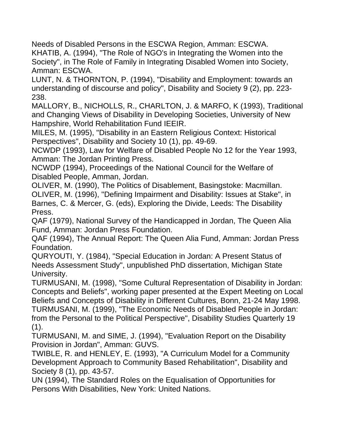Needs of Disabled Persons in the ESCWA Region, Amman: ESCWA. KHATIB, A. (1994), "The Role of NGO's in Integrating the Women into the Society", in The Role of Family in Integrating Disabled Women into Society, Amman: ESCWA.

LUNT, N. & THORNTON, P. (1994), "Disability and Employment: towards an understanding of discourse and policy", Disability and Society 9 (2), pp. 223- 238.

MALLORY, B., NICHOLLS, R., CHARLTON, J. & MARFO, K (1993), Traditional and Changing Views of Disability in Developing Societies, University of New Hampshire, World Rehabilitation Fund IEEIR.

MILES, M. (1995), "Disability in an Eastern Religious Context: Historical Perspectives", Disability and Society 10 (1), pp. 49-69.

NCWDP (1993), Law for Welfare of Disabled People No 12 for the Year 1993, Amman: The Jordan Printing Press.

NCWDP (1994), Proceedings of the National Council for the Welfare of Disabled People, Amman, Jordan.

OLIVER, M. (1990), The Politics of Disablement, Basingstoke: Macmillan. OLIVER, M. (1996), "Defining Impairment and Disability: Issues at Stake", in Barnes, C. & Mercer, G. (eds), Exploring the Divide, Leeds: The Disability Press.

QAF (1979), National Survey of the Handicapped in Jordan, The Queen Alia Fund, Amman: Jordan Press Foundation.

QAF (1994), The Annual Report: The Queen Alia Fund, Amman: Jordan Press Foundation.

QURYOUTI, Y. (1984), "Special Education in Jordan: A Present Status of Needs Assessment Study", unpublished PhD dissertation, Michigan State University.

TURMUSANI, M. (1998), "Some Cultural Representation of Disability in Jordan: Concepts and Beliefs", working paper presented at the Expert Meeting on Local Beliefs and Concepts of Disability in Different Cultures, Bonn, 21-24 May 1998. TURMUSANI, M. (1999), "The Economic Needs of Disabled People in Jordan: from the Personal to the Political Perspective", Disability Studies Quarterly 19  $(1)$ .

TURMUSANI, M. and SIME, J. (1994), "Evaluation Report on the Disability Provision in Jordan", Amman: GUVS.

TWIBLE, R. and HENLEY, E. (1993), "A Curriculum Model for a Community Development Approach to Community Based Rehabilitation", Disability and Society 8 (1), pp. 43-57.

UN (1994), The Standard Roles on the Equalisation of Opportunities for Persons With Disabilities, New York: United Nations.